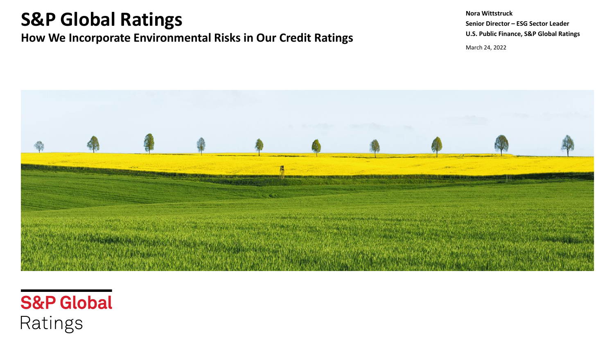# **S&P Global Ratings**

### **How We Incorporate Environmental Risks in Our Credit Ratings**

March 24, 2022 **Nora Wittstruck Senior Director – ESG Sector Leader U.S. Public Finance, S&P Global Ratings**



# **S&P Global** Ratings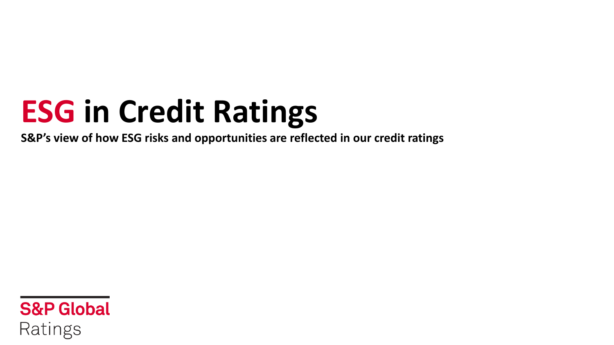# **ESG in Credit Ratings**

**S&P's view of how ESG risks and opportunities are reflected in our credit ratings**

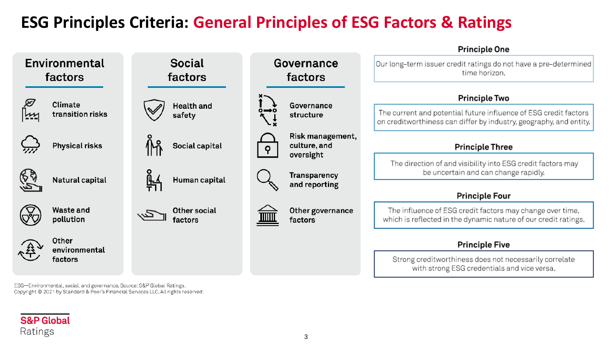### **ESG Principles Criteria: General Principles of ESG Factors & Ratings**



ESG--Environmental, social, and governance, Source: S&P Global Ratings, Copyright @ 2021 by Standard & Poor's Financial Services LLC. All rights reserved.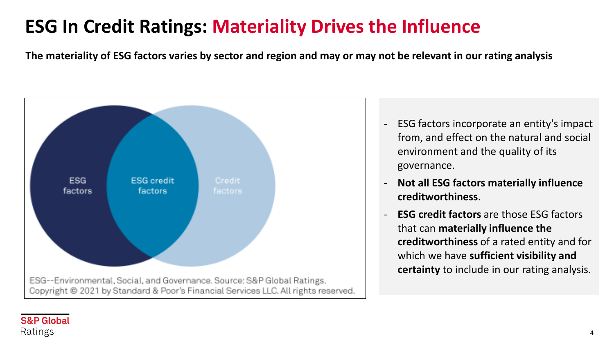# **ESG In Credit Ratings: Materiality Drives the Influence**

**The materiality of ESG factors varies by sector and region and may or may not be relevant in our rating analysis**



- ESG factors incorporate an entity's impact from, and effect on the natural and social environment and the quality of its governance.
- **Not all ESG factors materially influence creditworthiness**.
- **ESG credit factors** are those ESG factors that can **materially influence the creditworthiness** of a rated entity and for which we have **sufficient visibility and certainty** to include in our rating analysis.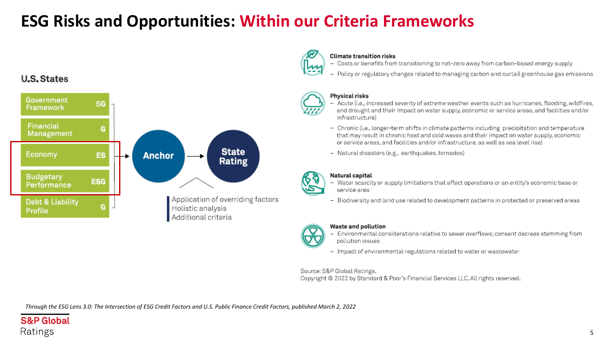## **ESG Risks and Opportunities: Within our Criteria Frameworks**

### **U.S. States**





#### **Climate transition risks**

- Costs or benefits from transitioning to net-zero away from carbon-based energy supply
- Policy or regulatory changes related to managing carbon and curtail greenhouse gas emissions



#### **Physical risks**

- Acute (i.e., increased severity of extreme weather events such as hurricanes, flooding, wildfires, and drought and their impact on water supply, economic or service areas, and facilities and/or infrastructure)
- Chronic (i.e., longer-term shifts in climate patterns including precipitation and temperature that may result in chronic heat and cold waves and their impact on water supply, economic or service areas, and facilities and/or infrastructure, as well as sea level rise)
- Natural disasters (e.g., earthquakes, tornados)



#### Natural capital

- Water scarcity or supply limitations that affect operations or an entity's economic base or service area
- Biodiversity and land use related to development patterns in protected or preserved areas



#### Waste and pollution

- Environmental considerations relative to sewer overflows; consent decrees stemming from pollution issues
- Impact of environmental regulations related to water or wastewater

Source: S&P Global Ratings, Copyright @ 2022 by Standard & Poor's Financial Services LLC. All rights reserved.

*Through the ESG Lens 3.0: The Intersection of ESG Credit Factors and U.S. Public Finance Credit Factors, published March 2, 2022*

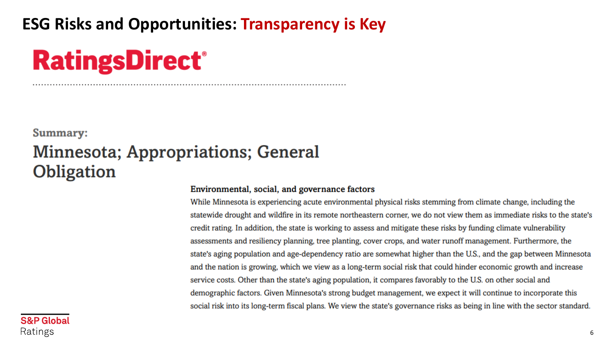## **ESG Risks and Opportunities: Transparency is Key**

# **RatingsDirect®**

## **Summary: Minnesota; Appropriations; General** Obligation

### Environmental, social, and governance factors

While Minnesota is experiencing acute environmental physical risks stemming from climate change, including the statewide drought and wildfire in its remote northeastern corner, we do not view them as immediate risks to the state's credit rating. In addition, the state is working to assess and mitigate these risks by funding climate vulnerability assessments and resiliency planning, tree planting, cover crops, and water runoff management. Furthermore, the state's aging population and age-dependency ratio are somewhat higher than the U.S., and the gap between Minnesota and the nation is growing, which we view as a long-term social risk that could hinder economic growth and increase service costs. Other than the state's aging population, it compares favorably to the U.S. on other social and demographic factors. Given Minnesota's strong budget management, we expect it will continue to incorporate this social risk into its long-term fiscal plans. We view the state's governance risks as being in line with the sector standard.